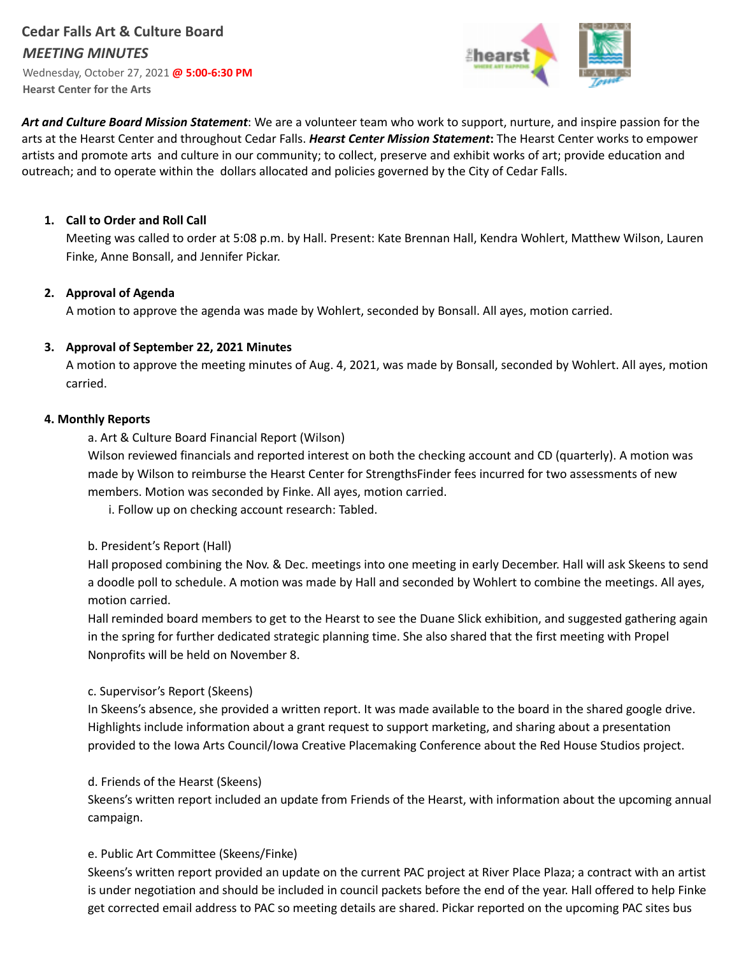# **Cedar Falls Art & Culture Board** *MEETING MINUTES* Wednesday, October 27, 2021 **@ 5:00-6:30 PM**

**Hearst Center for the Arts**



*Art and Culture Board Mission Statement*: We are a volunteer team who work to support, nurture, and inspire passion for the arts at the Hearst Center and throughout Cedar Falls. *Hearst Center Mission Statement***:** The Hearst Center works to empower artists and promote arts and culture in our community; to collect, preserve and exhibit works of art; provide education and outreach; and to operate within the dollars allocated and policies governed by the City of Cedar Falls.

# **1. Call to Order and Roll Call**

Meeting was called to order at 5:08 p.m. by Hall. Present: Kate Brennan Hall, Kendra Wohlert, Matthew Wilson, Lauren Finke, Anne Bonsall, and Jennifer Pickar.

# **2. Approval of Agenda**

A motion to approve the agenda was made by Wohlert, seconded by Bonsall. All ayes, motion carried.

# **3. Approval of September 22, 2021 Minutes**

A motion to approve the meeting minutes of Aug. 4, 2021, was made by Bonsall, seconded by Wohlert. All ayes, motion carried.

#### **4. Monthly Reports**

a. Art & Culture Board Financial Report (Wilson)

Wilson reviewed financials and reported interest on both the checking account and CD (quarterly). A motion was made by Wilson to reimburse the Hearst Center for StrengthsFinder fees incurred for two assessments of new members. Motion was seconded by Finke. All ayes, motion carried.

i. Follow up on checking account research: Tabled.

#### b. President's Report (Hall)

Hall proposed combining the Nov. & Dec. meetings into one meeting in early December. Hall will ask Skeens to send a doodle poll to schedule. A motion was made by Hall and seconded by Wohlert to combine the meetings. All ayes, motion carried.

Hall reminded board members to get to the Hearst to see the Duane Slick exhibition, and suggested gathering again in the spring for further dedicated strategic planning time. She also shared that the first meeting with Propel Nonprofits will be held on November 8.

# c. Supervisor's Report (Skeens)

In Skeens's absence, she provided a written report. It was made available to the board in the shared google drive. Highlights include information about a grant request to support marketing, and sharing about a presentation provided to the Iowa Arts Council/Iowa Creative Placemaking Conference about the Red House Studios project.

#### d. Friends of the Hearst (Skeens)

Skeens's written report included an update from Friends of the Hearst, with information about the upcoming annual campaign.

# e. Public Art Committee (Skeens/Finke)

Skeens's written report provided an update on the current PAC project at River Place Plaza; a contract with an artist is under negotiation and should be included in council packets before the end of the year. Hall offered to help Finke get corrected email address to PAC so meeting details are shared. Pickar reported on the upcoming PAC sites bus